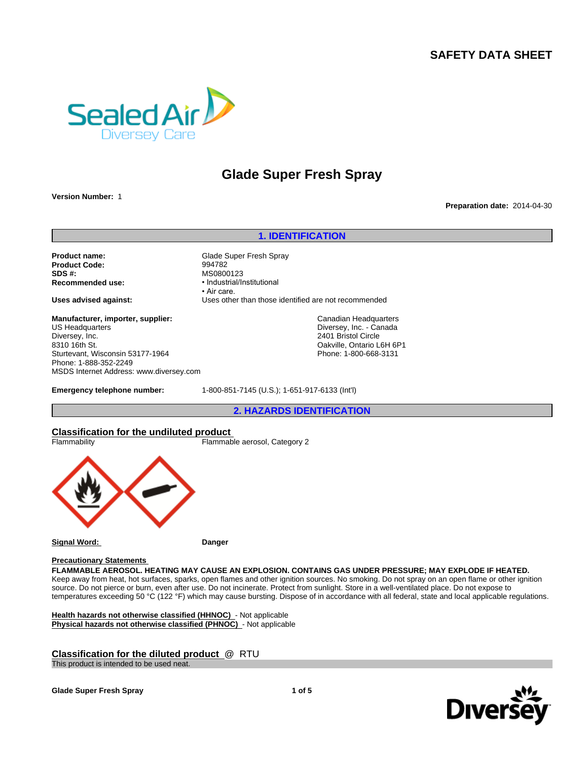# **SAFETY DATA SHEET**



# **Glade Super Fresh Spray**

**Version Number:** 1

#### **Preparation date:** 2014-04-30

# **1. IDENTIFICATION**

**Product Code:**<br>SDS #: **SDS #:** MS0800123<br> **Recommended use:** Manual Manual Mecommended use:

**Product name:** Glade Super Fresh Spray<br> **Product Code:** 994782 **Recommended use:** •Industrial/Institutional • Air care. **Uses advised against:** Uses other than those identified are not recommended

> Canadian Headquarters Diversey, Inc. - Canada 2401 Bristol Circle Oakville, Ontario L6H 6P1 Phone: 1-800-668-3131

**Manufacturer, importer, supplier:** US Headquarters Diversey, Inc. 8310 16th St. Sturtevant, Wisconsin 53177-1964 Phone: 1-888-352-2249 MSDS Internet Address: www.diversey.com

**Emergency telephone number:** 1-800-851-7145 (U.S.); 1-651-917-6133 (Int'l)

**2. HAZARDS IDENTIFICATION**

# **Classification for the undiluted product**



#### **Precautionary Statements**

**FLAMMABLE AEROSOL. HEATING MAY CAUSE AN EXPLOSION. CONTAINS GAS UNDER PRESSURE; MAY EXPLODE IF HEATED.** Keep away from heat, hot surfaces, sparks, open flames and other ignition sources. No smoking. Do not spray on an open flame or other ignition source. Do not pierce or burn, even after use. Do not incinerate. Protect from sunlight. Store in a well-ventilated place. Do not expose to temperatures exceeding 50 °C (122 °F) which may cause bursting. Dispose of in accordance with all federal, state and local applicable regulations.

**Health hazards not otherwise classified (HHNOC)** - Not applicable **Physical hazards not otherwise classified (PHNOC)** - Not applicable

# **Classification for the diluted product** @ RTU

This product is intended to be used neat.





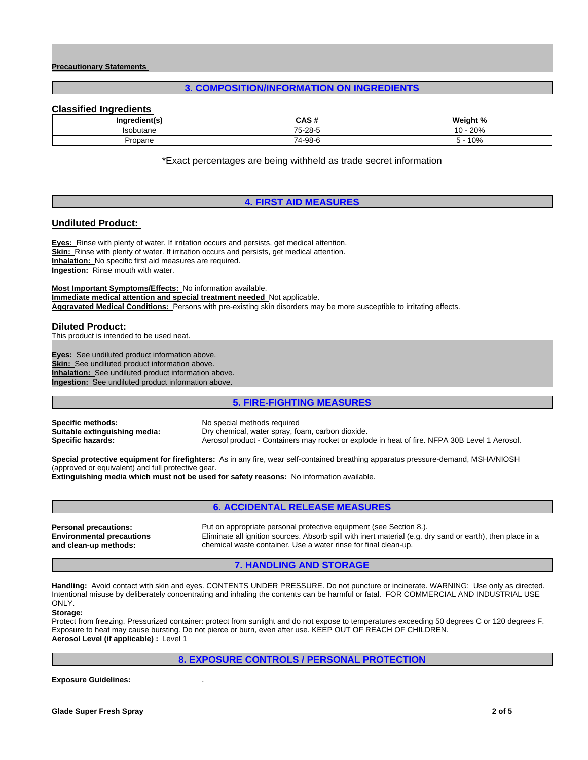#### **Precautionary Statements**

# **3. COMPOSITION/INFORMATION ON INGREDIENTS**

#### **Classified Ingredients**

| <b>Inarc</b><br>dient(: | <b>CAC #</b>                     | <i>Mojen</i><br>$\cdot$ $\cdot$<br>70 |
|-------------------------|----------------------------------|---------------------------------------|
| $l$ cobutono<br>butane  | $\overline{\phantom{a}}$<br>- 28 | nnn.<br>$\sim$<br>07∿∠<br>v           |
| Propane                 | 74<br>74-98-6                    | 10%                                   |

\*Exact percentages are being withheld as trade secret information

# **4. FIRST AID MEASURES**

#### **Undiluted Product:**

**Eyes:** Rinse with plenty of water. If irritation occurs and persists, get medical attention. **Skin:** Rinse with plenty of water. If irritation occurs and persists, get medical attention. **Inhalation:** No specific first aid measures are required. **Ingestion:** Rinse mouth with water.

**Most Important Symptoms/Effects:** No information available. **Immediate medical attention and special treatment needed** Not applicable. **Aggravated Medical Conditions:** Persons with pre-existing skin disorders may be more susceptible to irritating effects.

#### **Diluted Product:**

This product is intended to be used neat.

**Eyes:** See undiluted product information above. **Skin:** See undiluted product information above. **Inhalation:** See undiluted product information above. **Ingestion:** See undiluted product information above.

# **5. FIRE-FIGHTING MEASURES**

**Specific methods:** No special methods required<br> **Suitable extinguishing media:** Dry chemical, water spray, fo

**Suitable extinguishing media:** Dry chemical, water spray, foam, carbon dioxide. **Specific hazards:** Aerosol product - Containers may rocket or explode in heat of fire. NFPA 30B Level 1 Aerosol.

**Special protective equipment for firefighters:** As in any fire, wear self-contained breathing apparatus pressure-demand, MSHA/NIOSH (approved or equivalent) and full protective gear.

**Extinguishing media which must not be used for safety reasons:** No information available.

# **6. ACCIDENTAL RELEASE MEASURES**

**Environmental precautions and clean-up methods:**

**Personal precautions:** Put on appropriate personal protective equipment (see Section 8.). Eliminate all ignition sources. Absorb spill with inert material (e.g. dry sand or earth), then place in a chemical waste container. Use a water rinse for final clean-up.

# **7. HANDLING AND STORAGE**

**Handling:** Avoid contact with skin and eyes. CONTENTS UNDER PRESSURE. Do not puncture or incinerate. WARNING: Use only as directed. Intentional misuse by deliberately concentrating and inhaling the contents can be harmful or fatal. FOR COMMERCIAL AND INDUSTRIAL USE ONLY.

#### **Storage:**

Protect from freezing. Pressurized container: protect from sunlight and do not expose to temperatures exceeding 50 degrees C or 120 degrees F. Exposure to heat may cause bursting. Do not pierce or burn, even after use. KEEP OUT OF REACH OF CHILDREN. **Aerosol Level (if applicable) :** Level 1

# **8. EXPOSURE CONTROLS / PERSONAL PROTECTION**

**Exposure Guidelines:** .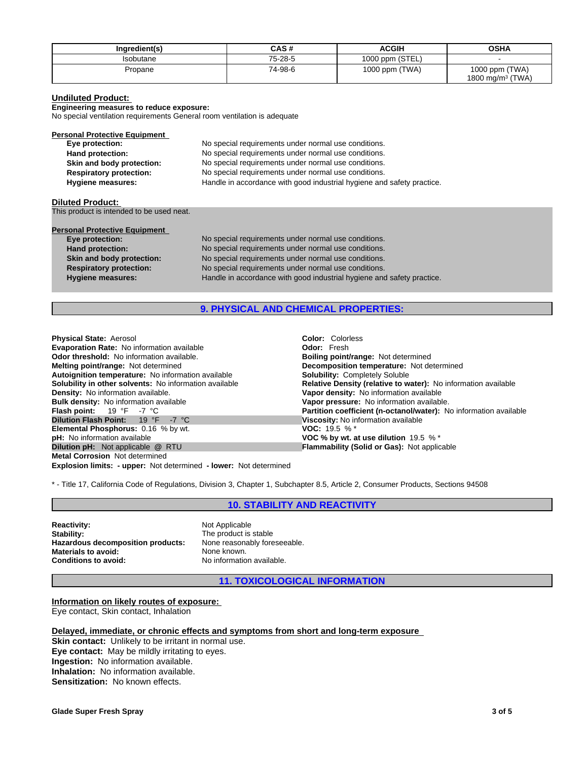| Ingredient(s) | CAS #   | <b>ACGIH</b>    | <b>OSHA</b>                                    |
|---------------|---------|-----------------|------------------------------------------------|
| sobutane      | 75-28-5 | 1000 ppm (STEL) |                                                |
| Propane       | 74-98-6 | 1000 ppm (TWA)  | 1000 ppm (TWA)<br>1800 mg/m <sup>3</sup> (TWA) |

#### **Undiluted Product:**

**Engineering measures to reduce exposure:**

No special ventilation requirements General room ventilation is adequate

| <b>Personal Protective Equipment</b> |                                                                        |
|--------------------------------------|------------------------------------------------------------------------|
| Eye protection:                      | No special requirements under normal use conditions.                   |
| Hand protection:                     | No special requirements under normal use conditions.                   |
| Skin and body protection:            | No special requirements under normal use conditions.                   |
| <b>Respiratory protection:</b>       | No special requirements under normal use conditions.                   |
| <b>Hygiene measures:</b>             | Handle in accordance with good industrial hygiene and safety practice. |

#### **Diluted Product:**

This product is intended to be used neat.

| <b>Personal Protective Equipment</b> |                                                                        |
|--------------------------------------|------------------------------------------------------------------------|
| Eye protection:                      | No special requirements under normal use conditions.                   |
| Hand protection:                     | No special requirements under normal use conditions.                   |
| Skin and body protection:            | No special requirements under normal use conditions.                   |
| <b>Respiratory protection:</b>       | No special requirements under normal use conditions.                   |
| <b>Hygiene measures:</b>             | Handle in accordance with good industrial hygiene and safety practice. |
|                                      |                                                                        |

# **9. PHYSICAL AND CHEMICAL PROPERTIES:**

**Explosion limits: - upper:** Not determined **- lower:** Not determined **Physical State:** Aerosol **Color:** *Colorisal State:* Aerosol **Color: Coloristic Evaporation Rate:** No information available **Color: Color: Color:** Fresh **Evaporation Rate: No information available Odor threshold:** No information available. **Boiling point/range: Not determined Melting point/range:** Not determined **Melting point/range:** Not determined **Autoignition temperature:** No information available **Solubility in other solvents:** No information available **Solubility in other solvents:** No information available **Relative Density (relative to water):** No information available **Density:** No information available **Density:** No information available **Density:** No information av **Density:** No information available.<br> **Bulk density:** No information available<br> **Bulk density:** No information available<br> **Vapor pressure:** No information available **Bulk density:** No information available **Vapor pressure:** No information available.<br> **Flash point:** 19 °F -7 °C **Partition coefficient (n-octanol/water):** N<br> **Dilution Flash Point:** 19 °F -7 °C **Viscosity:** No information **Elemental Phosphorus: 0.16 % by wt. pH:** No information available *Q* RTU *COC % by wt. at use dilution* 19.5 % \*<br>**Dilution pH:** Not applicable *Q* RTU *COC <b>Flammability* (Solid or Gas): Not applic **Metal Corrosion** Not determined

**Decomposition temperature:** Not determined **Solubility:** Completely Soluble **Fartition coefficient (n-octanol/water):** No information available<br>**19 °C** -7 °C -19 **Viscosity:** No information available **Viscosity:** No information available<br>**VOC:** 19.5 % \* **Flammability (Solid or Gas):** Not applicable

\* - Title 17, California Code of Regulations, Division 3, Chapter 1, Subchapter 8.5, Article 2, Consumer Products, Sections 94508

# **10. STABILITY AND REACTIVITY**

**Reactivity:** Not Applicable<br> **Stability:** Not Applicable<br> **Stability:** Not Applicable Stability: Hazardous decomposition products: **Materials to avoid:** None known.<br> **Conditions to avoid:** No information

The product is stable<br>None reasonably foreseeable. **Conditions to avoid:** No information available.

**11. TOXICOLOGICAL INFORMATION**

**Information on likely routes of exposure:**  Eye contact, Skin contact, Inhalation

**Delayed, immediate, or chronic effects and symptoms from short and long-term exposure** 

**Skin contact:** Unlikely to be irritant in normal use. **Eye contact:** May be mildly irritating to eyes. **Ingestion:** No information available. **Inhalation:** No information available. **Sensitization:** No known effects.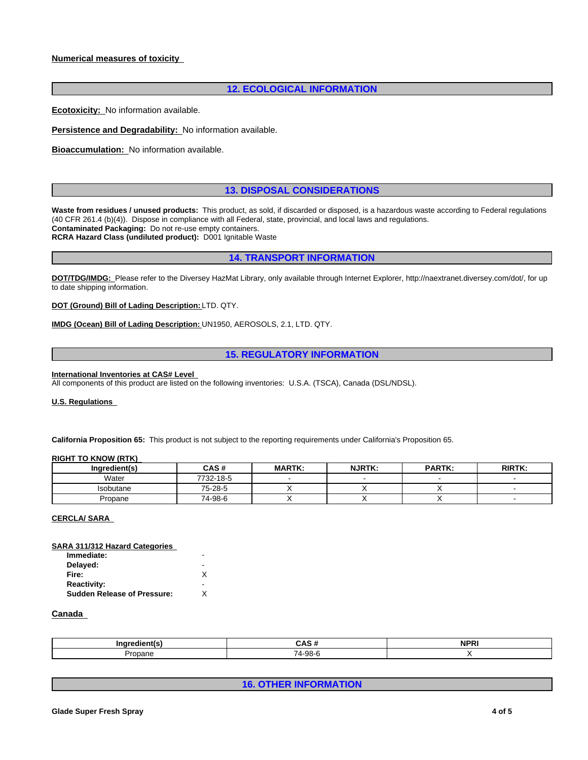# **Numerical measures of toxicity**

# **12. ECOLOGICAL INFORMATION**

**Ecotoxicity:** No information available.

**Persistence and Degradability:** No information available.

**Bioaccumulation:** No information available.

# **13. DISPOSAL CONSIDERATIONS**

Waste from residues / unused products: This product, as sold, if discarded or disposed, is a hazardous waste according to Federal regulations (40 CFR 261.4 (b)(4)). Dispose in compliance with all Federal, state, provincial, and local laws and regulations. **Contaminated Packaging:** Do not re-use empty containers. **RCRA Hazard Class (undiluted product):** D001 Ignitable Waste

# **14. TRANSPORT INFORMATION**

**DOT/TDG/IMDG:** Please refer to the Diversey HazMat Library, only available through Internet Explorer, http://naextranet.diversey.com/dot/, for up to date shipping information.

**DOT (Ground) Bill of Lading Description:** LTD. QTY.

**IMDG (Ocean) Bill of Lading Description:** UN1950, AEROSOLS, 2.1, LTD. QTY.

# **15. REGULATORY INFORMATION**

#### **International Inventories at CAS# Level**

All components of this product are listed on the following inventories: U.S.A. (TSCA), Canada (DSL/NDSL).

#### **U.S. Regulations**

**California Proposition 65:** This product is not subject to the reporting requirements under California's Proposition 65.

#### **RIGHT TO KNOW (RTK)**

| Ingredient(s) | <b>CAS#</b> | <b>MARTK:</b> | <b>NJRTK:</b> | <b>PARTK:</b> | <b>RIRTK:</b> |
|---------------|-------------|---------------|---------------|---------------|---------------|
| Water         | 7732-18-5   |               |               |               |               |
| Isobutane     | 75-28-5     |               |               |               |               |
| Propane       | 74-98-6     |               |               |               |               |

#### **CERCLA/ SARA**

| SARA 311/312 Hazard Categories     |   |  |
|------------------------------------|---|--|
| Immediate:                         | - |  |
| Delayed:                           |   |  |
| Fire:                              |   |  |
| <b>Reactivity:</b>                 | - |  |
| <b>Sudden Release of Pressure:</b> |   |  |
|                                    |   |  |

#### **Canada**

|                | r v c                    | <b>AIDD</b><br>''<br>. |
|----------------|--------------------------|------------------------|
| <b>Propane</b> | $\overline{ }$<br>റ<br>. |                        |

**16. OTHER INFORMATION**